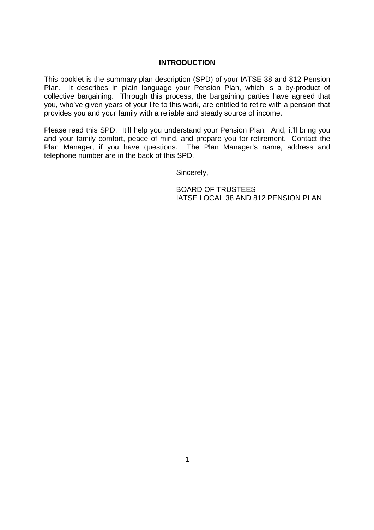#### **INTRODUCTION**

This booklet is the summary plan description (SPD) of your IATSE 38 and 812 Pension Plan. It describes in plain language your Pension Plan, which is a by-product of collective bargaining. Through this process, the bargaining parties have agreed that you, who've given years of your life to this work, are entitled to retire with a pension that provides you and your family with a reliable and steady source of income.

Please read this SPD. It'll help you understand your Pension Plan. And, it'll bring you and your family comfort, peace of mind, and prepare you for retirement. Contact the Plan Manager, if you have questions. The Plan Manager's name, address and telephone number are in the back of this SPD.

Sincerely,

BOARD OF TRUSTEES IATSE LOCAL 38 AND 812 PENSION PLAN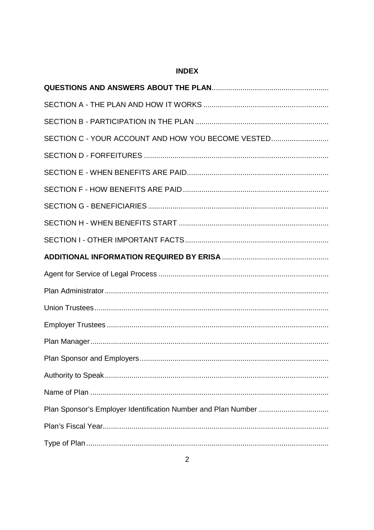# **INDEX**

| SECTION C - YOUR ACCOUNT AND HOW YOU BECOME VESTED |
|----------------------------------------------------|
|                                                    |
|                                                    |
|                                                    |
|                                                    |
|                                                    |
|                                                    |
|                                                    |
|                                                    |
|                                                    |
|                                                    |
|                                                    |
|                                                    |
|                                                    |
|                                                    |
|                                                    |
|                                                    |
|                                                    |
|                                                    |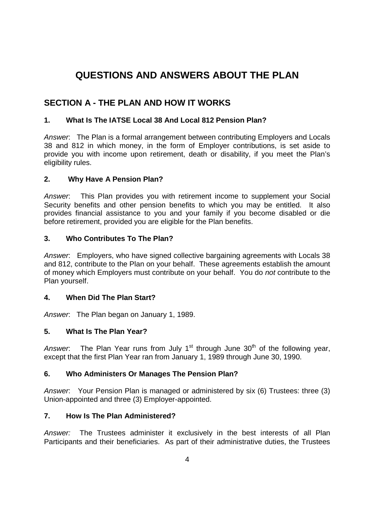# **QUESTIONS AND ANSWERS ABOUT THE PLAN**

# **SECTION A - THE PLAN AND HOW IT WORKS**

## **1. What Is The IATSE Local 38 And Local 812 Pension Plan?**

*Answer*: The Plan is a formal arrangement between contributing Employers and Locals 38 and 812 in which money, in the form of Employer contributions, is set aside to provide you with income upon retirement, death or disability, if you meet the Plan's eligibility rules.

## **2. Why Have A Pension Plan?**

*Answer*: This Plan provides you with retirement income to supplement your Social Security benefits and other pension benefits to which you may be entitled. It also provides financial assistance to you and your family if you become disabled or die before retirement, provided you are eligible for the Plan benefits.

## **3. Who Contributes To The Plan?**

*Answer*: Employers, who have signed collective bargaining agreements with Locals 38 and 812, contribute to the Plan on your behalf. These agreements establish the amount of money which Employers must contribute on your behalf. You do *not* contribute to the Plan yourself.

## **4. When Did The Plan Start?**

*Answer*: The Plan began on January 1, 1989.

## **5. What Is The Plan Year?**

Answer: The Plan Year runs from July 1<sup>st</sup> through June 30<sup>th</sup> of the following year, except that the first Plan Year ran from January 1, 1989 through June 30, 1990.

## **6. Who Administers Or Manages The Pension Plan?**

*Answer*: Your Pension Plan is managed or administered by six (6) Trustees: three (3) Union-appointed and three (3) Employer-appointed.

## **7. How Is The Plan Administered?**

*Answer:* The Trustees administer it exclusively in the best interests of all Plan Participants and their beneficiaries. As part of their administrative duties, the Trustees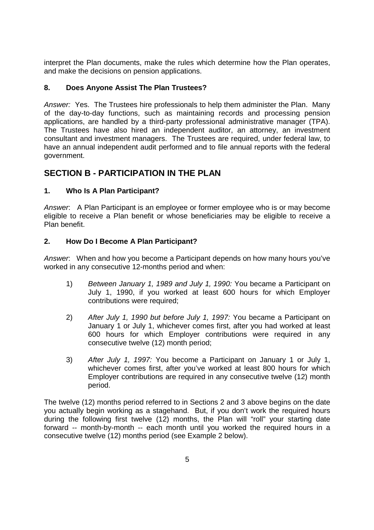interpret the Plan documents, make the rules which determine how the Plan operates, and make the decisions on pension applications.

## **8. Does Anyone Assist The Plan Trustees?**

*Answer:* Yes. The Trustees hire professionals to help them administer the Plan. Many of the day-to-day functions, such as maintaining records and processing pension applications, are handled by a third-party professional administrative manager (TPA). The Trustees have also hired an independent auditor, an attorney, an investment consultant and investment managers. The Trustees are required, under federal law, to have an annual independent audit performed and to file annual reports with the federal government.

# **SECTION B - PARTICIPATION IN THE PLAN**

## **1. Who Is A Plan Participant?**

*Answer*: A Plan Participant is an employee or former employee who is or may become eligible to receive a Plan benefit or whose beneficiaries may be eligible to receive a Plan benefit.

## **2. How Do I Become A Plan Participant?**

*Answer*: When and how you become a Participant depends on how many hours you've worked in any consecutive 12-months period and when:

- 1) *Between January 1, 1989 and July 1, 1990:* You became a Participant on July 1, 1990, if you worked at least 600 hours for which Employer contributions were required;
- 2) *After July 1, 1990 but before July 1, 1997:* You became a Participant on January 1 or July 1, whichever comes first, after you had worked at least 600 hours for which Employer contributions were required in any consecutive twelve (12) month period;
- 3) *After July 1, 1997:* You become a Participant on January 1 or July 1, whichever comes first, after you've worked at least 800 hours for which Employer contributions are required in any consecutive twelve (12) month period.

The twelve (12) months period referred to in Sections 2 and 3 above begins on the date you actually begin working as a stagehand. But, if you don't work the required hours during the following first twelve (12) months, the Plan will "roll" your starting date forward -- month-by-month -- each month until you worked the required hours in a consecutive twelve (12) months period (see Example 2 below).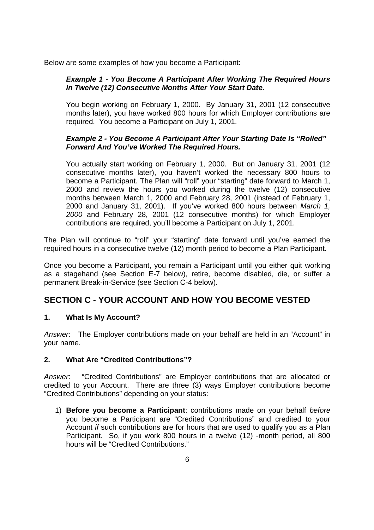Below are some examples of how you become a Participant:

## *Example 1 - You Become A Participant After Working The Required Hours In Twelve (12) Consecutive Months After Your Start Date.*

You begin working on February 1, 2000. By January 31, 2001 (12 consecutive months later), you have worked 800 hours for which Employer contributions are required. You become a Participant on July 1, 2001.

## *Example 2 - You Become A Participant After Your Starting Date Is "Rolled" Forward And You've Worked The Required Hours.*

You actually start working on February 1, 2000. But on January 31, 2001 (12 consecutive months later), you haven't worked the necessary 800 hours to become a Participant. The Plan will "roll" your "starting" date forward to March 1, 2000 and review the hours you worked during the twelve (12) consecutive months between March 1, 2000 and February 28, 2001 (instead of February 1, 2000 and January 31, 2001). If you've worked 800 hours between *March 1, 2000* and February 28, 2001 (12 consecutive months) for which Employer contributions are required, you'll become a Participant on July 1, 2001.

The Plan will continue to "roll" your "starting" date forward until you've earned the required hours in a consecutive twelve (12) month period to become a Plan Participant.

Once you become a Participant, you remain a Participant until you either quit working as a stagehand (see Section E-7 below), retire, become disabled, die, or suffer a permanent Break-in-Service (see Section C-4 below).

# **SECTION C - YOUR ACCOUNT AND HOW YOU BECOME VESTED**

## **1. What Is My Account?**

*Answer*: The Employer contributions made on your behalf are held in an "Account" in your name.

## **2. What Are "Credited Contributions"?**

*Answer*: "Credited Contributions" are Employer contributions that are allocated or credited to your Account. There are three (3) ways Employer contributions become "Credited Contributions" depending on your status:

1) **Before you become a Participant**: contributions made on your behalf *before* you become a Participant are "Credited Contributions" and credited to your Account *if* such contributions are for hours that are used to qualify you as a Plan Participant. So, if you work 800 hours in a twelve (12) -month period, all 800 hours will be "Credited Contributions."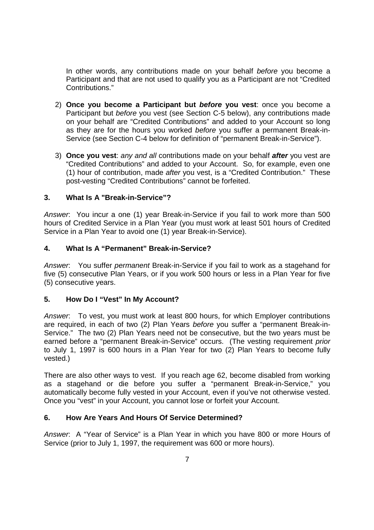In other words, any contributions made on your behalf *before* you become a Participant and that are not used to qualify you as a Participant are not "Credited Contributions."

- 2) **Once you become a Participant but** *before* **you vest**: once you become a Participant but *before* you vest (see Section C-5 below), any contributions made on your behalf are "Credited Contributions" and added to your Account so long as they are for the hours you worked *before* you suffer a permanent Break-in-Service (see Section C-4 below for definition of "permanent Break-in-Service").
- 3) **Once you vest**: *any and all* contributions made on your behalf *after* you vest are "Credited Contributions" and added to your Account. So, for example, even one (1) hour of contribution, made *after* you vest, is a "Credited Contribution." These post-vesting "Credited Contributions" cannot be forfeited.

### **3. What Is A "Break-in-Service"?**

*Answer*: You incur a one (1) year Break-in-Service if you fail to work more than 500 hours of Credited Service in a Plan Year (you must work at least 501 hours of Credited Service in a Plan Year to avoid one (1) year Break-in-Service).

### **4. What Is A "Permanent" Break-in-Service?**

*Answer*: You suffer *permanent* Break-in-Service if you fail to work as a stagehand for five (5) consecutive Plan Years, or if you work 500 hours or less in a Plan Year for five (5) consecutive years.

#### **5. How Do I "Vest" In My Account?**

*Answer*: To vest, you must work at least 800 hours, for which Employer contributions are required, in each of two (2) Plan Years *before* you suffer a "permanent Break-in-Service." The two (2) Plan Years need not be consecutive, but the two years must be earned before a "permanent Break-in-Service" occurs. (The vesting requirement *prior* to July 1, 1997 is 600 hours in a Plan Year for two (2) Plan Years to become fully vested.)

There are also other ways to vest. If you reach age 62, become disabled from working as a stagehand or die before you suffer a "permanent Break-in-Service," you automatically become fully vested in your Account, even if you've not otherwise vested. Once you "vest" in your Account, you cannot lose or forfeit your Account.

## **6. How Are Years And Hours Of Service Determined?**

*Answer*: A "Year of Service" is a Plan Year in which you have 800 or more Hours of Service (prior to July 1, 1997, the requirement was 600 or more hours).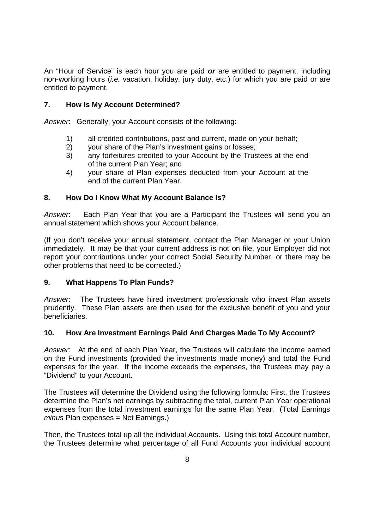An "Hour of Service" is each hour you are paid *or* are entitled to payment, including non-working hours (*i.e.* vacation, holiday, jury duty, etc.) for which you are paid or are entitled to payment.

## **7. How Is My Account Determined?**

*Answer*: Generally, your Account consists of the following:

- 1) all credited contributions, past and current, made on your behalf;
- 2) your share of the Plan's investment gains or losses;
- 3) any forfeitures credited to your Account by the Trustees at the end of the current Plan Year; and
- 4) your share of Plan expenses deducted from your Account at the end of the current Plan Year.

### **8. How Do I Know What My Account Balance Is?**

*Answer*: Each Plan Year that you are a Participant the Trustees will send you an annual statement which shows your Account balance.

(If you don't receive your annual statement, contact the Plan Manager or your Union immediately. It may be that your current address is not on file, your Employer did not report your contributions under your correct Social Security Number, or there may be other problems that need to be corrected.)

#### **9. What Happens To Plan Funds?**

*Answer*: The Trustees have hired investment professionals who invest Plan assets prudently. These Plan assets are then used for the exclusive benefit of you and your beneficiaries.

#### **10. How Are Investment Earnings Paid And Charges Made To My Account?**

*Answer*: At the end of each Plan Year, the Trustees will calculate the income earned on the Fund investments (provided the investments made money) and total the Fund expenses for the year. If the income exceeds the expenses, the Trustees may pay a "Dividend" to your Account.

The Trustees will determine the Dividend using the following formula: First, the Trustees determine the Plan's net earnings by subtracting the total, current Plan Year operational expenses from the total investment earnings for the same Plan Year. (Total Earnings *minus* Plan expenses = Net Earnings.)

Then, the Trustees total up all the individual Accounts. Using this total Account number, the Trustees determine what percentage of all Fund Accounts your individual account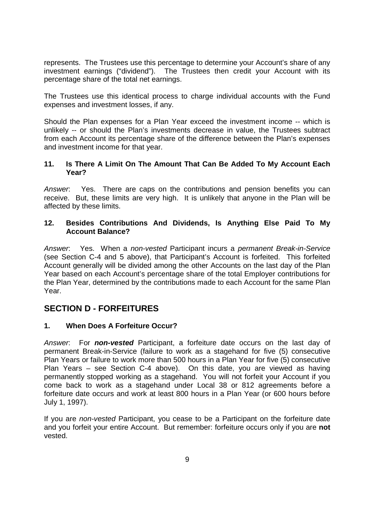represents. The Trustees use this percentage to determine your Account's share of any investment earnings ("dividend"). The Trustees then credit your Account with its percentage share of the total net earnings.

The Trustees use this identical process to charge individual accounts with the Fund expenses and investment losses, if any.

Should the Plan expenses for a Plan Year exceed the investment income -- which is unlikely -- or should the Plan's investments decrease in value, the Trustees subtract from each Account its percentage share of the difference between the Plan's expenses and investment income for that year.

### **11. Is There A Limit On The Amount That Can Be Added To My Account Each Year?**

*Answer*: Yes. There are caps on the contributions and pension benefits you can receive. But, these limits are very high. It is unlikely that anyone in the Plan will be affected by these limits.

## **12. Besides Contributions And Dividends, Is Anything Else Paid To My Account Balance?**

*Answer*: Yes. When a *non-vested* Participant incurs a *permanent Break-in-Service* (see Section C-4 and 5 above), that Participant's Account is forfeited. This forfeited Account generally will be divided among the other Accounts on the last day of the Plan Year based on each Account's percentage share of the total Employer contributions for the Plan Year, determined by the contributions made to each Account for the same Plan Year.

# **SECTION D - FORFEITURES**

## **1. When Does A Forfeiture Occur?**

*Answer*: For *non-vested* Participant, a forfeiture date occurs on the last day of permanent Break-in-Service (failure to work as a stagehand for five (5) consecutive Plan Years or failure to work more than 500 hours in a Plan Year for five (5) consecutive Plan Years – see Section C-4 above). On this date, you are viewed as having permanently stopped working as a stagehand. You will not forfeit your Account if you come back to work as a stagehand under Local 38 or 812 agreements before a forfeiture date occurs and work at least 800 hours in a Plan Year (or 600 hours before July 1, 1997).

If you are *non-vested* Participant, you cease to be a Participant on the forfeiture date and you forfeit your entire Account. But remember: forfeiture occurs only if you are **not** vested.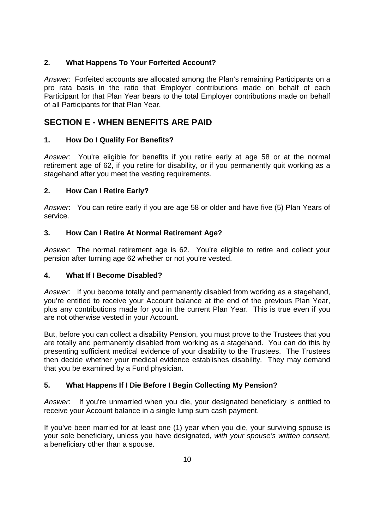## **2. What Happens To Your Forfeited Account?**

*Answer*: Forfeited accounts are allocated among the Plan's remaining Participants on a pro rata basis in the ratio that Employer contributions made on behalf of each Participant for that Plan Year bears to the total Employer contributions made on behalf of all Participants for that Plan Year.

# **SECTION E - WHEN BENEFITS ARE PAID**

## **1. How Do I Qualify For Benefits?**

*Answer*: You're eligible for benefits if you retire early at age 58 or at the normal retirement age of 62, if you retire for disability, or if you permanently quit working as a stagehand after you meet the vesting requirements.

## **2. How Can I Retire Early?**

*Answer*: You can retire early if you are age 58 or older and have five (5) Plan Years of service.

## **3. How Can I Retire At Normal Retirement Age?**

*Answer*: The normal retirement age is 62. You're eligible to retire and collect your pension after turning age 62 whether or not you're vested.

## **4. What If I Become Disabled?**

*Answer*: If you become totally and permanently disabled from working as a stagehand, you're entitled to receive your Account balance at the end of the previous Plan Year, plus any contributions made for you in the current Plan Year. This is true even if you are not otherwise vested in your Account.

But, before you can collect a disability Pension, you must prove to the Trustees that you are totally and permanently disabled from working as a stagehand. You can do this by presenting sufficient medical evidence of your disability to the Trustees. The Trustees then decide whether your medical evidence establishes disability. They may demand that you be examined by a Fund physician.

## **5. What Happens If I Die Before I Begin Collecting My Pension?**

*Answer*: If you're unmarried when you die, your designated beneficiary is entitled to receive your Account balance in a single lump sum cash payment.

If you've been married for at least one (1) year when you die, your surviving spouse is your sole beneficiary, unless you have designated, *with your spouse's written consent,* a beneficiary other than a spouse.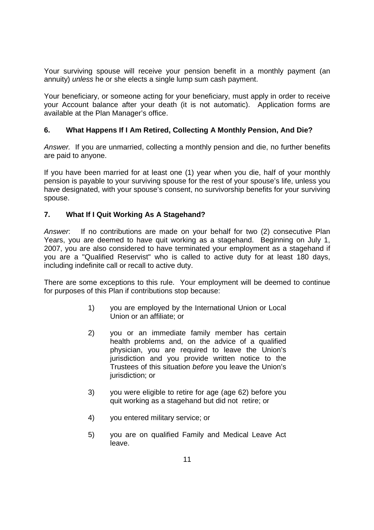Your surviving spouse will receive your pension benefit in a monthly payment (an annuity) *unless* he or she elects a single lump sum cash payment.

Your beneficiary, or someone acting for your beneficiary, must apply in order to receive your Account balance after your death (it is not automatic). Application forms are available at the Plan Manager's office.

## **6. What Happens If I Am Retired, Collecting A Monthly Pension, And Die?**

*Answer.* If you are unmarried, collecting a monthly pension and die, no further benefits are paid to anyone.

If you have been married for at least one (1) year when you die, half of your monthly pension is payable to your surviving spouse for the rest of your spouse's life, unless you have designated, with your spouse's consent, no survivorship benefits for your surviving spouse.

### **7. What If I Quit Working As A Stagehand?**

*Answer*: If no contributions are made on your behalf for two (2) consecutive Plan Years, you are deemed to have quit working as a stagehand. Beginning on July 1, 2007, you are also considered to have terminated your employment as a stagehand if you are a "Qualified Reservist" who is called to active duty for at least 180 days, including indefinite call or recall to active duty.

There are some exceptions to this rule. Your employment will be deemed to continue for purposes of this Plan if contributions stop because:

- 1) you are employed by the International Union or Local Union or an affiliate; or
- 2) you or an immediate family member has certain health problems and, on the advice of a qualified physician, you are required to leave the Union's jurisdiction and you provide written notice to the Trustees of this situation *before* you leave the Union's jurisdiction; or
- 3) you were eligible to retire for age (age 62) before you quit working as a stagehand but did not retire; or
- 4) you entered military service; or
- 5) you are on qualified Family and Medical Leave Act leave.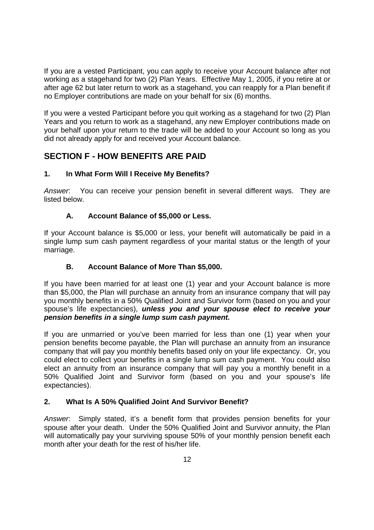If you are a vested Participant, you can apply to receive your Account balance after not working as a stagehand for two (2) Plan Years. Effective May 1, 2005, if you retire at or after age 62 but later return to work as a stagehand, you can reapply for a Plan benefit if no Employer contributions are made on your behalf for six (6) months.

If you were a vested Participant before you quit working as a stagehand for two (2) Plan Years and you return to work as a stagehand, any new Employer contributions made on your behalf upon your return to the trade will be added to your Account so long as you did not already apply for and received your Account balance.

# **SECTION F - HOW BENEFITS ARE PAID**

## **1. In What Form Will I Receive My Benefits?**

*Answer*: You can receive your pension benefit in several different ways. They are listed below.

## **A. Account Balance of \$5,000 or Less.**

If your Account balance is \$5,000 or less, your benefit will automatically be paid in a single lump sum cash payment regardless of your marital status or the length of your marriage.

## **B. Account Balance of More Than \$5,000.**

If you have been married for at least one (1) year and your Account balance is more than \$5,000, the Plan will purchase an annuity from an insurance company that will pay you monthly benefits in a 50% Qualified Joint and Survivor form (based on you and your spouse's life expectancies), *unless you and your spouse elect to receive your pension benefits in a single lump sum cash payment.*

If you are unmarried or you've been married for less than one (1) year when your pension benefits become payable, the Plan will purchase an annuity from an insurance company that will pay you monthly benefits based only on your life expectancy. Or, you could elect to collect your benefits in a single lump sum cash payment. You could also elect an annuity from an insurance company that will pay you a monthly benefit in a 50% Qualified Joint and Survivor form (based on you and your spouse's life expectancies).

## **2. What Is A 50% Qualified Joint And Survivor Benefit?**

*Answer*: Simply stated, it's a benefit form that provides pension benefits for your spouse after your death. Under the 50% Qualified Joint and Survivor annuity, the Plan will automatically pay your surviving spouse 50% of your monthly pension benefit each month after your death for the rest of his/her life.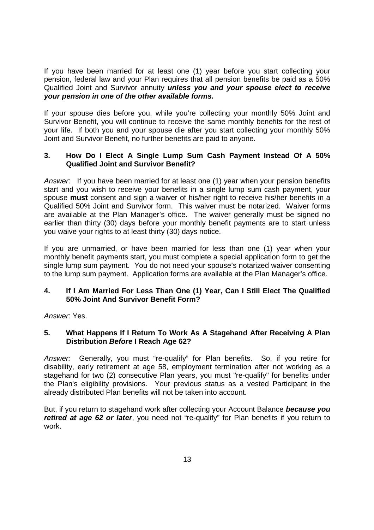If you have been married for at least one (1) year before you start collecting your pension, federal law and your Plan requires that all pension benefits be paid as a 50% Qualified Joint and Survivor annuity *unless you and your spouse elect to receive your pension in one of the other available forms.*

If your spouse dies before you, while you're collecting your monthly 50% Joint and Survivor Benefit, you will continue to receive the same monthly benefits for the rest of your life. If both you and your spouse die after you start collecting your monthly 50% Joint and Survivor Benefit, no further benefits are paid to anyone.

### **3. How Do I Elect A Single Lump Sum Cash Payment Instead Of A 50% Qualified Joint and Survivor Benefit?**

*Answer*: If you have been married for at least one (1) year when your pension benefits start and you wish to receive your benefits in a single lump sum cash payment, your spouse **must** consent and sign a waiver of his/her right to receive his/her benefits in a Qualified 50% Joint and Survivor form. This waiver must be notarized. Waiver forms are available at the Plan Manager's office. The waiver generally must be signed no earlier than thirty (30) days before your monthly benefit payments are to start unless you waive your rights to at least thirty (30) days notice.

If you are unmarried, or have been married for less than one (1) year when your monthly benefit payments start, you must complete a special application form to get the single lump sum payment. You do not need your spouse's notarized waiver consenting to the lump sum payment. Application forms are available at the Plan Manager's office.

### **4. If I Am Married For Less Than One (1) Year, Can I Still Elect The Qualified 50% Joint And Survivor Benefit Form?**

*Answer*: Yes.

### **5. What Happens If I Return To Work As A Stagehand After Receiving A Plan Distribution** *Before* **I Reach Age 62?**

*Answer:* Generally, you must "re-qualify" for Plan benefits. So, if you retire for disability, early retirement at age 58, employment termination after not working as a stagehand for two (2) consecutive Plan years, you must "re-qualify" for benefits under the Plan's eligibility provisions. Your previous status as a vested Participant in the already distributed Plan benefits will not be taken into account.

But, if you return to stagehand work after collecting your Account Balance *because you retired at age 62 or later*, you need not "re-qualify" for Plan benefits if you return to work.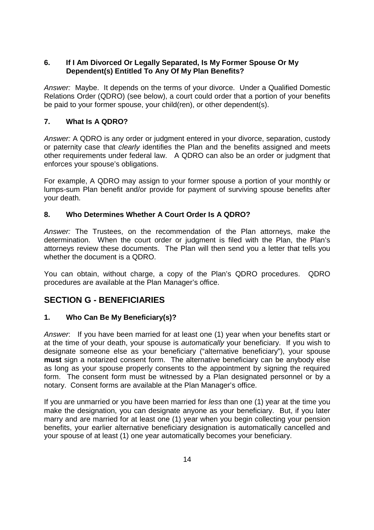## **6. If I Am Divorced Or Legally Separated, Is My Former Spouse Or My Dependent(s) Entitled To Any Of My Plan Benefits?**

*Answer:* Maybe. It depends on the terms of your divorce. Under a Qualified Domestic Relations Order (QDRO) (see below), a court could order that a portion of your benefits be paid to your former spouse, your child(ren), or other dependent(s).

## **7. What Is A QDRO?**

*Answer:* A QDRO is any order or judgment entered in your divorce, separation, custody or paternity case that *clearly* identifies the Plan and the benefits assigned and meets other requirements under federal law. A QDRO can also be an order or judgment that enforces your spouse's obligations.

For example, A QDRO may assign to your former spouse a portion of your monthly or lumps-sum Plan benefit and/or provide for payment of surviving spouse benefits after your death.

## **8. Who Determines Whether A Court Order Is A QDRO?**

*Answer:* The Trustees, on the recommendation of the Plan attorneys, make the determination. When the court order or judgment is filed with the Plan, the Plan's attorneys review these documents. The Plan will then send you a letter that tells you whether the document is a QDRO.

You can obtain, without charge, a copy of the Plan's QDRO procedures. QDRO procedures are available at the Plan Manager's office.

# **SECTION G - BENEFICIARIES**

## **1. Who Can Be My Beneficiary(s)?**

*Answer*: If you have been married for at least one (1) year when your benefits start or at the time of your death, your spouse is *automatically* your beneficiary. If you wish to designate someone else as your beneficiary ("alternative beneficiary"), your spouse **must** sign a notarized consent form. The alternative beneficiary can be anybody else as long as your spouse properly consents to the appointment by signing the required form. The consent form must be witnessed by a Plan designated personnel or by a notary. Consent forms are available at the Plan Manager's office.

If you are unmarried or you have been married for *less* than one (1) year at the time you make the designation, you can designate anyone as your beneficiary. But, if you later marry and are married for at least one (1) year when you begin collecting your pension benefits, your earlier alternative beneficiary designation is automatically cancelled and your spouse of at least (1) one year automatically becomes your beneficiary.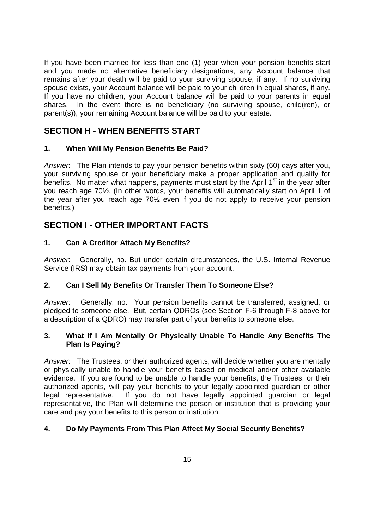If you have been married for less than one (1) year when your pension benefits start and you made no alternative beneficiary designations, any Account balance that remains after your death will be paid to your surviving spouse, if any. If no surviving spouse exists, your Account balance will be paid to your children in equal shares, if any. If you have no children, your Account balance will be paid to your parents in equal shares. In the event there is no beneficiary (no surviving spouse, child(ren), or parent(s)), your remaining Account balance will be paid to your estate.

# **SECTION H - WHEN BENEFITS START**

## **1. When Will My Pension Benefits Be Paid?**

*Answer*: The Plan intends to pay your pension benefits within sixty (60) days after you, your surviving spouse or your beneficiary make a proper application and qualify for benefits. No matter what happens, payments must start by the April  $1<sup>st</sup>$  in the year after you reach age 70½. (In other words, your benefits will automatically start on April 1 of the year after you reach age 70½ even if you do not apply to receive your pension benefits.)

# **SECTION I - OTHER IMPORTANT FACTS**

## **1. Can A Creditor Attach My Benefits?**

*Answer*: Generally, no. But under certain circumstances, the U.S. Internal Revenue Service (IRS) may obtain tax payments from your account.

## **2. Can I Sell My Benefits Or Transfer Them To Someone Else?**

*Answer*: Generally, no. Your pension benefits cannot be transferred, assigned, or pledged to someone else. But, certain QDROs (see Section F-6 through F-8 above for a description of a QDRO) may transfer part of your benefits to someone else.

## **3. What If I Am Mentally Or Physically Unable To Handle Any Benefits The Plan Is Paying?**

*Answer*: The Trustees, or their authorized agents, will decide whether you are mentally or physically unable to handle your benefits based on medical and/or other available evidence. If you are found to be unable to handle your benefits, the Trustees, or their authorized agents, will pay your benefits to your legally appointed guardian or other legal representative. If you do not have legally appointed guardian or legal representative, the Plan will determine the person or institution that is providing your care and pay your benefits to this person or institution.

## **4. Do My Payments From This Plan Affect My Social Security Benefits?**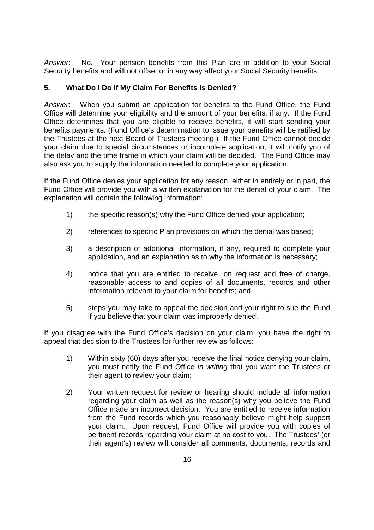*Answer*: No. Your pension benefits from this Plan are in addition to your Social Security benefits and will not offset or in any way affect your Social Security benefits.

## **5. What Do I Do If My Claim For Benefits Is Denied?**

*Answer*: When you submit an application for benefits to the Fund Office, the Fund Office will determine your eligibility and the amount of your benefits, if any. If the Fund Office determines that you are eligible to receive benefits, it will start sending your benefits payments. (Fund Office's determination to issue your benefits will be ratified by the Trustees at the next Board of Trustees meeting.) If the Fund Office cannot decide your claim due to special circumstances or incomplete application, it will notify you of the delay and the time frame in which your claim will be decided. The Fund Office may also ask you to supply the information needed to complete your application.

If the Fund Office denies your application for any reason, either in entirely or in part, the Fund Office will provide you with a written explanation for the denial of your claim. The explanation will contain the following information:

- 1) the specific reason(s) why the Fund Office denied your application;
- 2) references to specific Plan provisions on which the denial was based;
- 3) a description of additional information, if any, required to complete your application, and an explanation as to why the information is necessary;
- 4) notice that you are entitled to receive, on request and free of charge, reasonable access to and copies of all documents, records and other information relevant to your claim for benefits; and
- 5) steps you may take to appeal the decision and your right to sue the Fund if you believe that your claim was improperly denied.

If you disagree with the Fund Office's decision on your claim, you have the right to appeal that decision to the Trustees for further review as follows:

- 1) Within sixty (60) days after you receive the final notice denying your claim, you must notify the Fund Office *in writing* that you want the Trustees or their agent to review your claim;
- 2) Your written request for review or hearing should include all information regarding your claim as well as the reason(s) why you believe the Fund Office made an incorrect decision. You are entitled to receive information from the Fund records which you reasonably believe might help support your claim. Upon request, Fund Office will provide you with copies of pertinent records regarding your claim at no cost to you. The Trustees' (or their agent's) review will consider all comments, documents, records and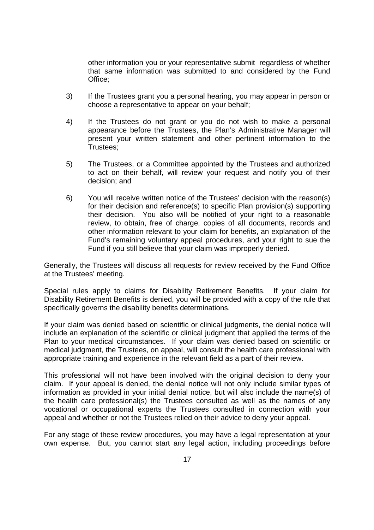other information you or your representative submit regardless of whether that same information was submitted to and considered by the Fund Office;

- 3) If the Trustees grant you a personal hearing, you may appear in person or choose a representative to appear on your behalf;
- 4) If the Trustees do not grant or you do not wish to make a personal appearance before the Trustees, the Plan's Administrative Manager will present your written statement and other pertinent information to the Trustees;
- 5) The Trustees, or a Committee appointed by the Trustees and authorized to act on their behalf, will review your request and notify you of their decision; and
- 6) You will receive written notice of the Trustees' decision with the reason(s) for their decision and reference(s) to specific Plan provision(s) supporting their decision. You also will be notified of your right to a reasonable review, to obtain, free of charge, copies of all documents, records and other information relevant to your claim for benefits, an explanation of the Fund's remaining voluntary appeal procedures, and your right to sue the Fund if you still believe that your claim was improperly denied.

Generally, the Trustees will discuss all requests for review received by the Fund Office at the Trustees' meeting.

Special rules apply to claims for Disability Retirement Benefits. If your claim for Disability Retirement Benefits is denied, you will be provided with a copy of the rule that specifically governs the disability benefits determinations.

If your claim was denied based on scientific or clinical judgments, the denial notice will include an explanation of the scientific or clinical judgment that applied the terms of the Plan to your medical circumstances. If your claim was denied based on scientific or medical judgment, the Trustees, on appeal, will consult the health care professional with appropriate training and experience in the relevant field as a part of their review.

This professional will not have been involved with the original decision to deny your claim. If your appeal is denied, the denial notice will not only include similar types of information as provided in your initial denial notice, but will also include the name(s) of the health care professional(s) the Trustees consulted as well as the names of any vocational or occupational experts the Trustees consulted in connection with your appeal and whether or not the Trustees relied on their advice to deny your appeal.

For any stage of these review procedures, you may have a legal representation at your own expense. But, you cannot start any legal action, including proceedings before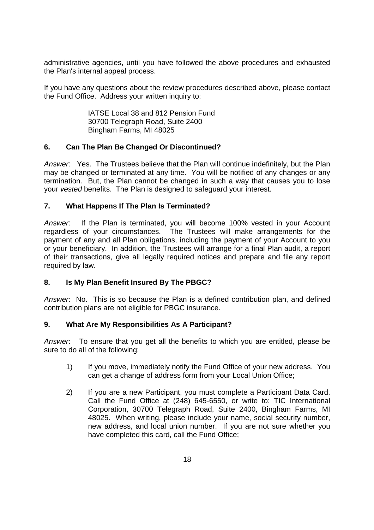administrative agencies, until you have followed the above procedures and exhausted the Plan's internal appeal process.

If you have any questions about the review procedures described above, please contact the Fund Office. Address your written inquiry to:

> IATSE Local 38 and 812 Pension Fund 30700 Telegraph Road, Suite 2400 Bingham Farms, MI 48025

## **6. Can The Plan Be Changed Or Discontinued?**

*Answer*: Yes. The Trustees believe that the Plan will continue indefinitely, but the Plan may be changed or terminated at any time. You will be notified of any changes or any termination. But, the Plan cannot be changed in such a way that causes you to lose your *vested* benefits. The Plan is designed to safeguard your interest.

### **7. What Happens If The Plan Is Terminated?**

*Answer*: If the Plan is terminated, you will become 100% vested in your Account regardless of your circumstances. The Trustees will make arrangements for the payment of any and all Plan obligations, including the payment of your Account to you or your beneficiary. In addition, the Trustees will arrange for a final Plan audit, a report of their transactions, give all legally required notices and prepare and file any report required by law.

## **8. Is My Plan Benefit Insured By The PBGC?**

*Answer*: No. This is so because the Plan is a defined contribution plan, and defined contribution plans are not eligible for PBGC insurance.

#### **9. What Are My Responsibilities As A Participant?**

*Answer*: To ensure that you get all the benefits to which you are entitled, please be sure to do all of the following:

- 1) If you move, immediately notify the Fund Office of your new address. You can get a change of address form from your Local Union Office;
- 2) If you are a new Participant, you must complete a Participant Data Card. Call the Fund Office at (248) 645-6550, or write to: TIC International Corporation, 30700 Telegraph Road, Suite 2400, Bingham Farms, MI 48025. When writing, please include your name, social security number, new address, and local union number. If you are not sure whether you have completed this card, call the Fund Office;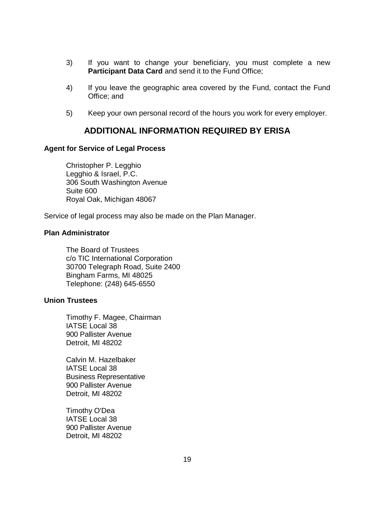- 3) If you want to change your beneficiary, you must complete a new **Participant Data Card** and send it to the Fund Office;
- 4) If you leave the geographic area covered by the Fund, contact the Fund Office; and
- 5) Keep your own personal record of the hours you work for every employer.

## **ADDITIONAL INFORMATION REQUIRED BY ERISA**

#### **Agent for Service of Legal Process**

Christopher P. Legghio Legghio & Israel, P.C. 306 South Washington Avenue Suite 600 Royal Oak, Michigan 48067

Service of legal process may also be made on the Plan Manager.

### **Plan Administrator**

The Board of Trustees c/o TIC International Corporation 30700 Telegraph Road, Suite 2400 Bingham Farms, MI 48025 Telephone: (248) 645-6550

### **Union Trustees**

Timothy F. Magee, Chairman IATSE Local 38 900 Pallister Avenue Detroit, MI 48202

Calvin M. Hazelbaker IATSE Local 38 Business Representative 900 Pallister Avenue Detroit, MI 48202

Timothy O'Dea IATSE Local 38 900 Pallister Avenue Detroit, MI 48202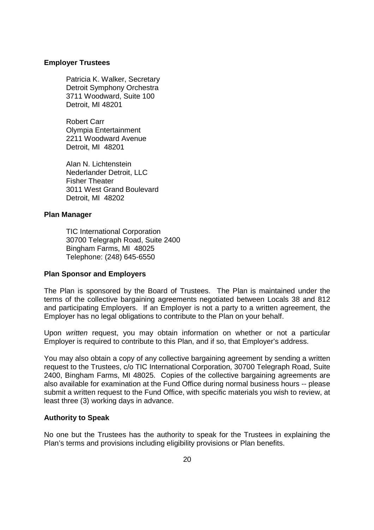#### **Employer Trustees**

Patricia K. Walker, Secretary Detroit Symphony Orchestra 3711 Woodward, Suite 100 Detroit, MI 48201

Robert Carr Olympia Entertainment 2211 Woodward Avenue Detroit, MI 48201

Alan N. Lichtenstein Nederlander Detroit, LLC Fisher Theater 3011 West Grand Boulevard Detroit, MI 48202

#### **Plan Manager**

TIC International Corporation 30700 Telegraph Road, Suite 2400 Bingham Farms, MI 48025 Telephone: (248) 645-6550

#### **Plan Sponsor and Employers**

The Plan is sponsored by the Board of Trustees. The Plan is maintained under the terms of the collective bargaining agreements negotiated between Locals 38 and 812 and participating Employers. If an Employer is not a party to a written agreement, the Employer has no legal obligations to contribute to the Plan on your behalf.

Upon *written* request, you may obtain information on whether or not a particular Employer is required to contribute to this Plan, and if so, that Employer's address.

You may also obtain a copy of any collective bargaining agreement by sending a written request to the Trustees, c/o TIC International Corporation, 30700 Telegraph Road, Suite 2400, Bingham Farms, MI 48025. Copies of the collective bargaining agreements are also available for examination at the Fund Office during normal business hours -- please submit a written request to the Fund Office, with specific materials you wish to review, at least three (3) working days in advance.

#### **Authority to Speak**

No one but the Trustees has the authority to speak for the Trustees in explaining the Plan's terms and provisions including eligibility provisions or Plan benefits.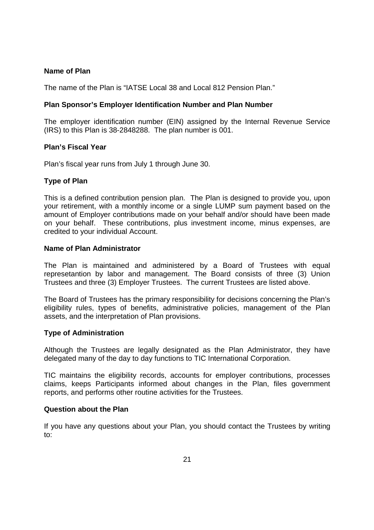#### **Name of Plan**

The name of the Plan is "IATSE Local 38 and Local 812 Pension Plan."

#### **Plan Sponsor's Employer Identification Number and Plan Number**

The employer identification number (EIN) assigned by the Internal Revenue Service (IRS) to this Plan is 38-2848288. The plan number is 001.

#### **Plan's Fiscal Year**

Plan's fiscal year runs from July 1 through June 30.

#### **Type of Plan**

This is a defined contribution pension plan. The Plan is designed to provide you, upon your retirement, with a monthly income or a single LUMP sum payment based on the amount of Employer contributions made on your behalf and/or should have been made on your behalf. These contributions, plus investment income, minus expenses, are credited to your individual Account.

#### **Name of Plan Administrator**

The Plan is maintained and administered by a Board of Trustees with equal represetantion by labor and management. The Board consists of three (3) Union Trustees and three (3) Employer Trustees. The current Trustees are listed above.

The Board of Trustees has the primary responsibility for decisions concerning the Plan's eligibility rules, types of benefits, administrative policies, management of the Plan assets, and the interpretation of Plan provisions.

#### **Type of Administration**

Although the Trustees are legally designated as the Plan Administrator, they have delegated many of the day to day functions to TIC International Corporation.

TIC maintains the eligibility records, accounts for employer contributions, processes claims, keeps Participants informed about changes in the Plan, files government reports, and performs other routine activities for the Trustees.

#### **Question about the Plan**

If you have any questions about your Plan, you should contact the Trustees by writing to: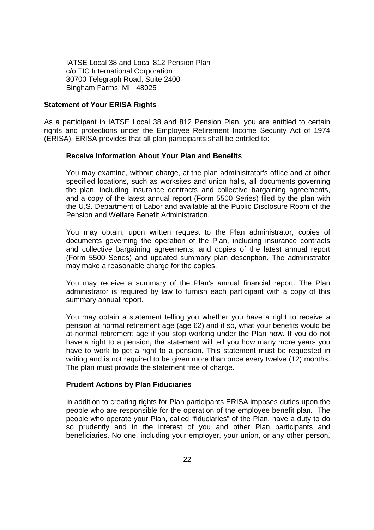IATSE Local 38 and Local 812 Pension Plan c/o TIC International Corporation 30700 Telegraph Road, Suite 2400 Bingham Farms, MI 48025

#### **Statement of Your ERISA Rights**

As a participant in IATSE Local 38 and 812 Pension Plan, you are entitled to certain rights and protections under the Employee Retirement Income Security Act of 1974 (ERISA). ERISA provides that all plan participants shall be entitled to:

#### **Receive Information About Your Plan and Benefits**

You may examine, without charge, at the plan administrator's office and at other specified locations, such as worksites and union halls, all documents governing the plan, including insurance contracts and collective bargaining agreements, and a copy of the latest annual report (Form 5500 Series) filed by the plan with the U.S. Department of Labor and available at the Public Disclosure Room of the Pension and Welfare Benefit Administration.

You may obtain, upon written request to the Plan administrator, copies of documents governing the operation of the Plan, including insurance contracts and collective bargaining agreements, and copies of the latest annual report (Form 5500 Series) and updated summary plan description. The administrator may make a reasonable charge for the copies.

You may receive a summary of the Plan's annual financial report. The Plan administrator is required by law to furnish each participant with a copy of this summary annual report.

You may obtain a statement telling you whether you have a right to receive a pension at normal retirement age (age 62) and if so, what your benefits would be at normal retirement age if you stop working under the Plan now. If you do not have a right to a pension, the statement will tell you how many more years you have to work to get a right to a pension. This statement must be requested in writing and is not required to be given more than once every twelve (12) months. The plan must provide the statement free of charge.

#### **Prudent Actions by Plan Fiduciaries**

In addition to creating rights for Plan participants ERISA imposes duties upon the people who are responsible for the operation of the employee benefit plan. The people who operate your Plan, called "fiduciaries" of the Plan, have a duty to do so prudently and in the interest of you and other Plan participants and beneficiaries. No one, including your employer, your union, or any other person,